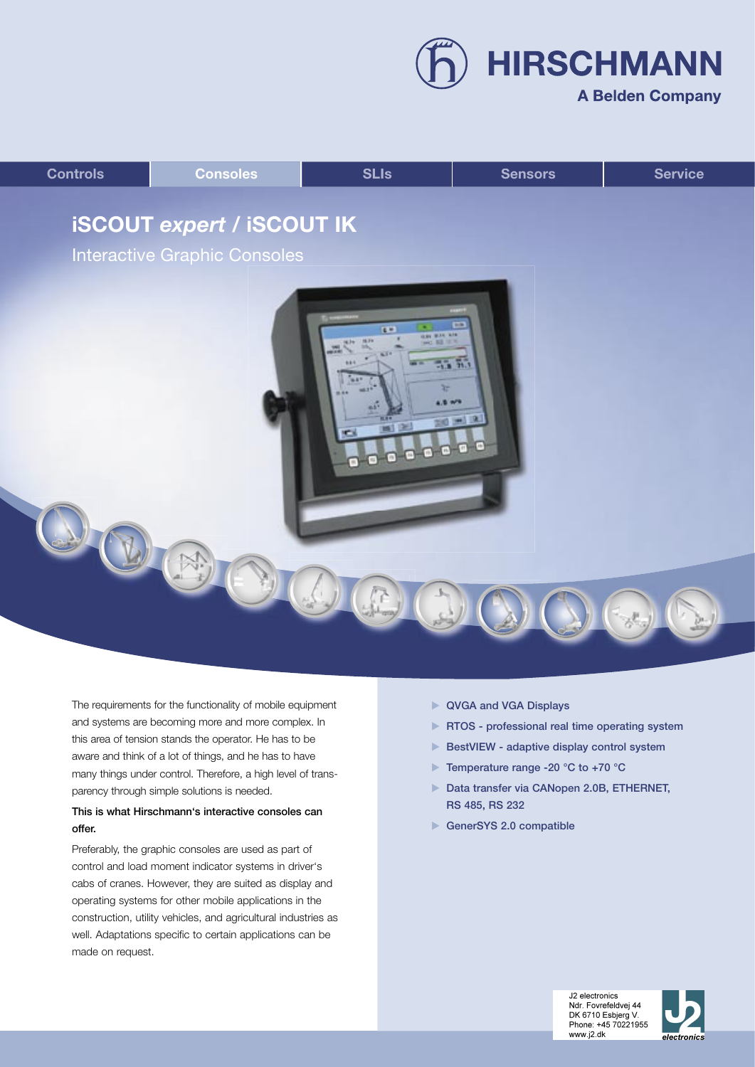**A Belden Company** 

**HIRSCHMANN** 



The requirements for the functionality of mobile equipment and systems are becoming more and more complex. In this area of tension stands the operator. He has to be aware and think of a lot of things, and he has to have many things under control. Therefore, a high level of transparency through simple solutions is needed.

# This is what Hirschmann's interactive consoles can offer.

Preferably, the graphic consoles are used as part of control and load moment indicator systems in driver's cabs of cranes. However, they are suited as display and operating systems for other mobile applications in the construction, utility vehicles, and agricultural industries as well. Adaptations specific to certain applications can be made on request.

- ▶ QVGA and VGA Displays
- **RTOS** professional real time operating system
- BestVIEW adaptive display control system
- ▶ Temperature range -20 °C to +70 °C
- Data transfer via CANopen 2.0B, ETHERNET, RS 485, RS 232
- GenerSYS 2.0 compatible



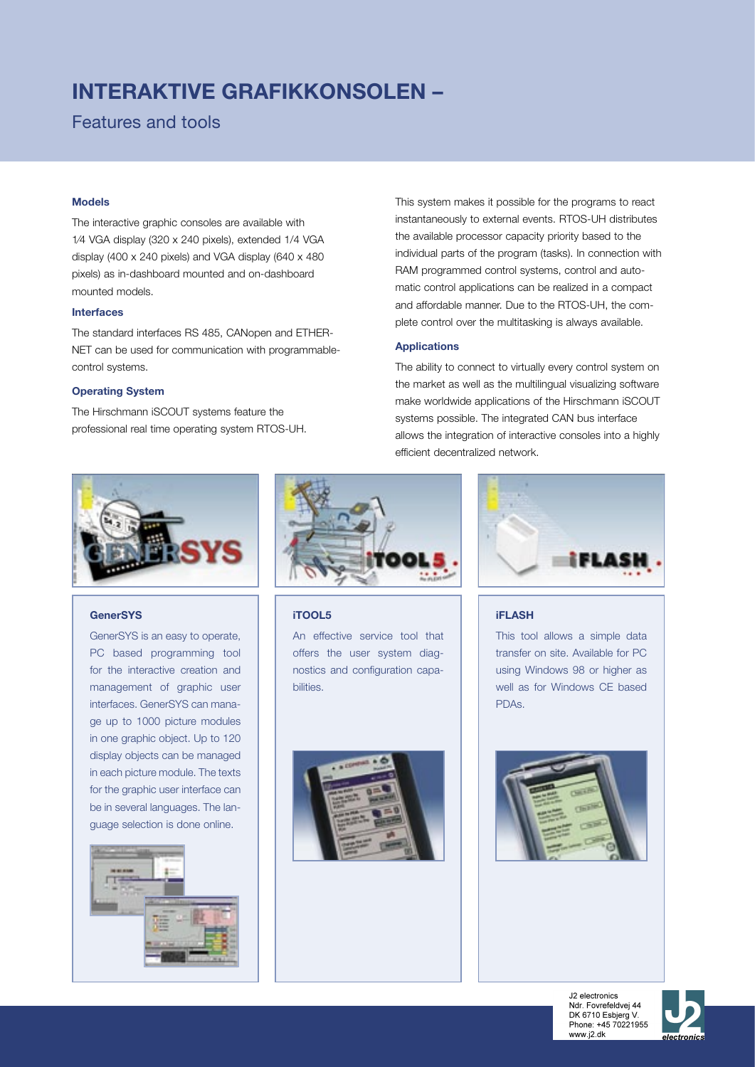# **INTERAKTIVE GRAFIKKONSOLEN –**

# Features and tools

#### **Models**

The interactive graphic consoles are available with 1⁄4 VGA display (320 x 240 pixels), extended 1/4 VGA display (400 x 240 pixels) and VGA display (640 x 480 pixels) as in-dashboard mounted and on-dashboard mounted models.

## **Interfaces**

The standard interfaces RS 485, CANopen and ETHER-NET can be used for communication with programmablecontrol systems.

#### **Operating System**

The Hirschmann iSCOUT systems feature the professional real time operating system RTOS-UH. This system makes it possible for the programs to react instantaneously to external events. RTOS-UH distributes the available processor capacity priority based to the individual parts of the program (tasks). In connection with RAM programmed control systems, control and automatic control applications can be realized in a compact and affordable manner. Due to the RTOS-UH, the complete control over the multitasking is always available.

#### **Applications**

The ability to connect to virtually every control system on the market as well as the multilingual visualizing software make worldwide applications of the Hirschmann iSCOUT systems possible. The integrated CAN bus interface allows the integration of interactive consoles into a highly efficient decentralized network.



## **GenerSYS**

GenerSYS is an easy to operate, PC based programming tool for the interactive creation and management of graphic user interfaces. GenerSYS can manage up to 1000 picture modules in one graphic object. Up to 120 display objects can be managed in each picture module. The texts for the graphic user interface can be in several languages. The language selection is done online.





**iTOOL5**

An effective service tool that offers the user system diagnostics and configuration capabilities.





### **iFLASH**

This tool allows a simple data transfer on site. Available for PC using Windows 98 or higher as well as for Windows CE based PDAs.



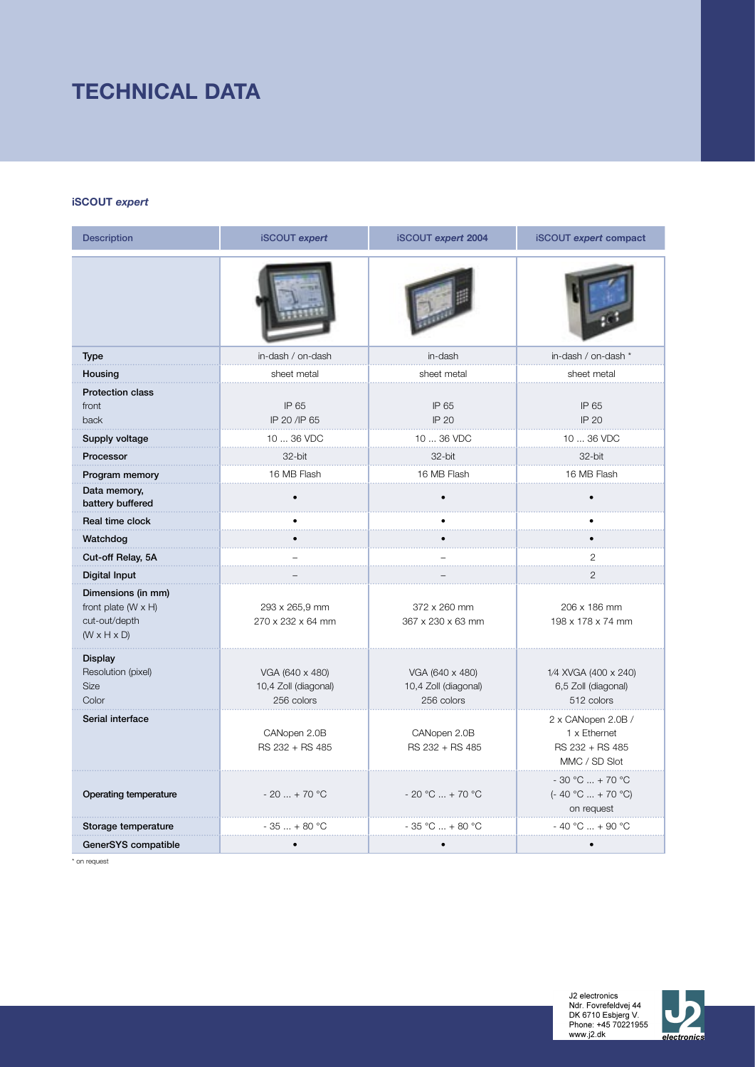# **TECHNICAL DATA**

## **iSCOUT** *expert*

| <b>Description</b>                                                                           | <b>iSCOUT</b> expert                                  | <b>iSCOUT expert 2004</b><br><b>iSCOUT</b> expert compact                                                 |                                                           |  |
|----------------------------------------------------------------------------------------------|-------------------------------------------------------|-----------------------------------------------------------------------------------------------------------|-----------------------------------------------------------|--|
|                                                                                              |                                                       |                                                                                                           |                                                           |  |
| <b>Type</b>                                                                                  | in-dash / on-dash                                     | in-dash                                                                                                   | in-dash / on-dash *                                       |  |
| Housing                                                                                      | sheet metal                                           | sheet metal                                                                                               | sheet metal                                               |  |
| <b>Protection class</b><br>front<br>back                                                     | IP 65<br>IP 20 /IP 65                                 | IP 65<br><b>IP 20</b>                                                                                     | IP 65<br><b>IP 20</b>                                     |  |
| Supply voltage                                                                               | 10  36 VDC                                            | $1036$ VDC                                                                                                | 10  36 VDC                                                |  |
| Processor                                                                                    | 32-bit                                                | 32-bit                                                                                                    | 32-bit                                                    |  |
| Program memory                                                                               | 16 MB Flash                                           | 16 MB Flash                                                                                               | 16 MB Flash                                               |  |
| Data memory,<br>battery buffered                                                             |                                                       |                                                                                                           |                                                           |  |
| Real time clock                                                                              |                                                       |                                                                                                           |                                                           |  |
| Watchdog                                                                                     |                                                       |                                                                                                           |                                                           |  |
| Cut-off Relay, 5A                                                                            |                                                       |                                                                                                           | 2                                                         |  |
| <b>Digital Input</b>                                                                         |                                                       |                                                                                                           | $\overline{2}$                                            |  |
| Dimensions (in mm)<br>front plate $(W \times H)$<br>cut-out/depth<br>$(W \times H \times D)$ | 293 x 265,9 mm<br>270 x 232 x 64 mm                   | 372 x 260 mm<br>367 x 230 x 63 mm                                                                         | 206 x 186 mm<br>198 x 178 x 74 mm                         |  |
| <b>Display</b><br>Resolution (pixel)<br><b>Size</b><br>Color                                 | VGA (640 x 480)<br>10,4 Zoll (diagonal)<br>256 colors | VGA (640 x 480)<br>10,4 Zoll (diagonal)<br>256 colors                                                     | 1/4 XVGA (400 x 240)<br>6,5 Zoll (diagonal)<br>512 colors |  |
| Serial interface                                                                             | CANopen 2.0B<br>RS 232 + RS 485                       | 2 x CANopen 2.0B /<br>CANopen 2.0B<br>1 x Ethernet<br>RS 232 + RS 485<br>RS 232 + RS 485<br>MMC / SD Slot |                                                           |  |
| Operating temperature                                                                        | $-20$ + 70 °C                                         | $-20 °C  + 70 °C$                                                                                         | $-30 °C  + 70 °C$<br>$(-40 °C  + 70 °C)$<br>on request    |  |
| Storage temperature                                                                          | $-35 + 80 °C$                                         | $-35 °C  + 80 °C$                                                                                         | $-40 °C  + 90 °C$                                         |  |
| GenerSYS compatible                                                                          |                                                       |                                                                                                           |                                                           |  |

\* on request